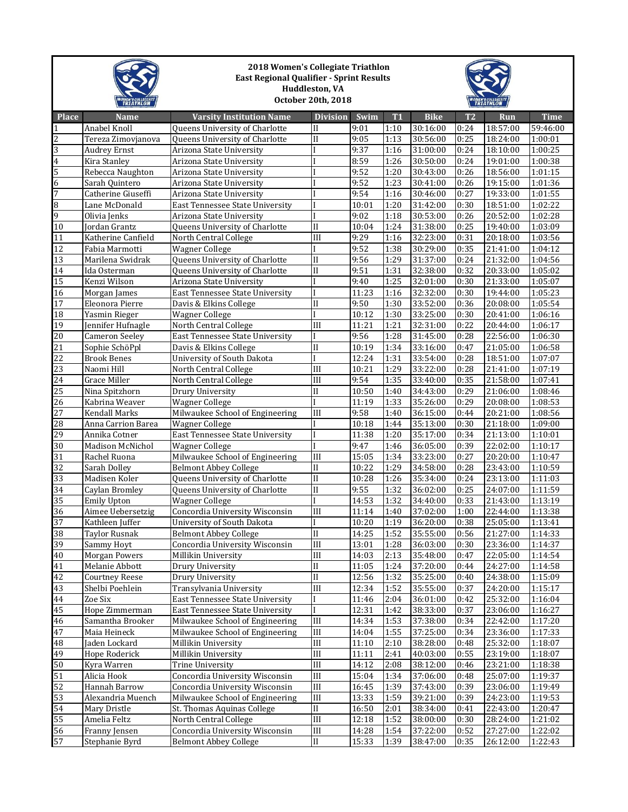|                 |                       | 2018 Women's Collegiate Triathlon<br><b>East Regional Qualifier - Sprint Results</b><br>Huddleston, VA<br>October 20th, 2018 |                        |       |                |             |                |          |             |
|-----------------|-----------------------|------------------------------------------------------------------------------------------------------------------------------|------------------------|-------|----------------|-------------|----------------|----------|-------------|
| <b>Place</b>    | <b>Name</b>           | <b>Varsity Institution Name</b>                                                                                              | <b>Division</b>        | Swim  | T <sub>1</sub> | <b>Bike</b> | T <sub>2</sub> | Run      | <b>Time</b> |
| $\mathbf{1}$    | Anabel Knoll          | Queens University of Charlotte                                                                                               | $\mathbf{I}$           | 9:01  | 1:10           | 30:16:00    | 0:24           | 18:57:00 | 59:46:00    |
| $\overline{c}$  | Tereza Zimovjanova    | Queens University of Charlotte                                                                                               | $\mathbf{I}$           | 9:05  | 1:13           | 30:56:00    | 0:25           | 18:24:00 | 1:00:01     |
| 3               | <b>Audrey Ernst</b>   | Arizona State University                                                                                                     |                        | 9:37  | 1:16           | 31:00:00    | 0:24           | 18:10:00 | 1:00:25     |
| $\overline{4}$  | Kira Stanley          | Arizona State University                                                                                                     |                        | 8:59  | 1:26           | 30:50:00    | 0:24           | 19:01:00 | 1:00:38     |
| 5               | Rebecca Naughton      | Arizona State University                                                                                                     |                        | 9:52  | 1:20           | 30:43:00    | 0:26           | 18:56:00 | 1:01:15     |
| 6               | Sarah Quintero        | Arizona State University                                                                                                     |                        | 9:52  | 1:23           | 30:41:00    | 0:26           | 19:15:00 | 1:01:36     |
| $\overline{7}$  | Catherine Giuseffi    | Arizona State University                                                                                                     |                        | 9:54  | 1:16           | 30:46:00    | 0:27           | 19:33:00 | 1:01:55     |
| 8               | Lane McDonald         | East Tennessee State University                                                                                              |                        | 10:01 | 1:20           | 31:42:00    | 0:30           | 18:51:00 | 1:02:22     |
| 9               | Olivia Jenks          | Arizona State University                                                                                                     |                        | 9:02  | 1:18           | 30:53:00    | 0:26           | 20:52:00 | 1:02:28     |
| 10              | Jordan Grantz         | Queens University of Charlotte                                                                                               | $\overline{\rm II}$    | 10:04 | 1:24           | 31:38:00    | 0:25           | 19:40:00 | 1:03:09     |
| 11              | Katherine Canfield    | North Central College                                                                                                        | III                    | 9:29  | 1:16           | 32:23:00    | 0:31           | 20:18:00 | 1:03:56     |
| $\overline{12}$ | Fabia Marmotti        | <b>Wagner College</b>                                                                                                        |                        | 9:52  | 1:38           | 30:29:00    | 0:35           | 21:41:00 | 1:04:12     |
| 13              | Marilena Swidrak      | Queens University of Charlotte                                                                                               | $_{\rm II}$            | 9:56  | 1:29           | 31:37:00    | 0:24           | 21:32:00 | 1:04:56     |
| 14              | Ida Osterman          | Queens University of Charlotte                                                                                               | $\mathbf{I}$           | 9:51  | 1:31           | 32:38:00    | 0:32           | 20:33:00 | 1:05:02     |
| $\overline{15}$ | Kenzi Wilson          | Arizona State University                                                                                                     |                        | 9:40  | 1:25           | 32:01:00    | 0:30           | 21:33:00 | 1:05:07     |
| 16              | Morgan James          | East Tennessee State University                                                                                              |                        | 11:23 | 1:16           | 32:32:00    | 0:30           | 19:44:00 | 1:05:23     |
| 17              | Eleonora Pierre       | Davis & Elkins College                                                                                                       | $\rm II$               | 9:50  | 1:30           | 33:52:00    | 0:36           | 20:08:00 | 1:05:54     |
| 18              | Yasmin Rieger         | <b>Wagner College</b>                                                                                                        |                        | 10:12 | 1:30           | 33:25:00    | 0:30           | 20:41:00 | 1:06:16     |
| $\overline{19}$ | Jennifer Hufnagle     | North Central College                                                                                                        | III                    | 11:21 | 1:21           | 32:31:00    | 0:22           | 20:44:00 | 1:06:17     |
| 20              | <b>Cameron Seelev</b> | East Tennessee State University                                                                                              |                        | 9:56  | 1:28           | 31:45:00    | 0:28           | 22:56:00 | 1:06:30     |
| $\overline{21}$ | Sophie SchöPpl        | Davis & Elkins College                                                                                                       | $\mathbf{I}$           | 10:19 | 1:34           | 33:16:00    | 0:47           | 21:05:00 | 1:06:58     |
| 22              | <b>Brook Benes</b>    | University of South Dakota                                                                                                   |                        | 12:24 | 1:31           | 33:54:00    | 0:28           | 18:51:00 | 1:07:07     |
| $\overline{23}$ | Naomi Hill            | North Central College                                                                                                        | III                    | 10:21 | 1:29           | 33:22:00    | 0:28           | 21:41:00 | 1:07:19     |
| 24              | Grace Miller          | North Central College                                                                                                        | III                    | 9:54  | 1:35           | 33:40:00    | 0:35           | 21:58:00 | 1:07:41     |
| 25              | Nina Spitzhorn        | Drury University                                                                                                             | $\overline{\rm II}$    | 10:50 | 1:40           | 34:43:00    | 0:29           | 21:06:00 | 1:08:46     |
| 26              | Kabrina Weaver        | <b>Wagner College</b>                                                                                                        |                        | 11:19 | 1:33           | 35:26:00    | 0:29           | 20:08:00 | 1:08:53     |
| 27              | Kendall Marks         | Milwaukee School of Engineering                                                                                              | III                    | 9:58  | 1:40           | 36:15:00    | 0:44           | 20:21:00 | 1:08:56     |
| 28              | Anna Carrion Barea    | <b>Wagner College</b>                                                                                                        |                        | 10:18 | 1:44           | 35:13:00    | 0:30           | 21:18:00 | 1:09:00     |
| 29              | Annika Cotner         | East Tennessee State University                                                                                              |                        | 11:38 | 1:20           | 35:17:00    | 0:34           | 21:13:00 | 1:10:01     |
| 30              | Madison McNichol      | <b>Wagner College</b>                                                                                                        |                        | 9:47  | 1:46           | 36:05:00    | 0:39           | 22:02:00 | 1:10:17     |
| 31              | Rachel Ruona          | Milwaukee School of Engineering                                                                                              | III                    | 15:05 | 1:34           | 33:23:00    | 0:27           | 20:20:00 | 1:10:47     |
| 32              | Sarah Dolley          | <b>Belmont Abbey College</b>                                                                                                 | $\mathbf{I}$           | 10:22 | 1:29           | 34:58:00    | 0:28           | 23:43:00 | 1:10:59     |
| 33              | Madisen Koler         | Queens University of Charlotte                                                                                               | $\overline{\text{II}}$ | 10:28 | 1:26           | 35:34:00    | 0:24           | 23:13:00 | 1:11:03     |
| 34              | Caylan Bromley        | Queens University of Charlotte                                                                                               | $\mathbf{I}$           | 9:55  | 1:32           | 36:02:00    | 0:25           | 24:07:00 | 1:11:59     |
| $\overline{35}$ | <b>Emily Upton</b>    | Wagner College                                                                                                               |                        | 14:53 | 1:32           | 34:40:00    | 0:33           | 21:43:00 | 1:13:19     |
| 36              | Aimee Uebersetzig     | Concordia University Wisconsin                                                                                               | III                    | 11:14 | 1:40           | 37:02:00    | 1:00           | 22:44:00 | 1:13:38     |
| 37              | Kathleen Juffer       | University of South Dakota                                                                                                   | I                      | 10:20 | 1:19           | 36:20:00    | 0:38           | 25:05:00 | 1:13:41     |
| 38              | <b>Taylor Rusnak</b>  | <b>Belmont Abbey College</b>                                                                                                 | $\rm II$               | 14:25 | 1:52           | 35:55:00    | 0:56           | 21:27:00 | 1:14:33     |
| 39              | Sammy Hoyt            | Concordia University Wisconsin                                                                                               | $\rm III$              | 13:01 | 1:28           | 36:03:00    | 0:30           | 23:36:00 | 1:14:37     |
| 40              | Morgan Powers         | Millikin University                                                                                                          | $\rm III$              | 14:03 | 2:13           | 35:48:00    | 0:47           | 22:05:00 | 1:14:54     |
| 41              | Melanie Abbott        | Drury University                                                                                                             | $\rm II$               | 11:05 | 1:24           | 37:20:00    | 0:44           | 24:27:00 | 1:14:58     |
| 42              | <b>Courtney Reese</b> | Drury University                                                                                                             | $\overline{\text{II}}$ | 12:56 | 1:32           | 35:25:00    | 0:40           | 24:38:00 | 1:15:09     |
| 43              | Shelbi Poehlein       | Transylvania University                                                                                                      | III                    | 12:34 | 1:52           | 35:55:00    | 0:37           | 24:20:00 | 1:15:17     |
| 44              | Zoe Six               | East Tennessee State University                                                                                              |                        | 11:46 | 2:04           | 36:01:00    | 0:42           | 25:32:00 | 1:16:04     |
| 45              | Hope Zimmerman        | East Tennessee State University                                                                                              | I                      | 12:31 | 1:42           | 38:33:00    | 0:37           | 23:06:00 | 1:16:27     |
| 46              | Samantha Brooker      | Milwaukee School of Engineering                                                                                              | $\rm III$              | 14:34 | 1:53           | 37:38:00    | 0:34           | 22:42:00 | 1:17:20     |
| 47              | Maia Heineck          | Milwaukee School of Engineering                                                                                              | $\rm III$              | 14:04 | 1:55           | 37:25:00    | 0:34           | 23:36:00 | 1:17:33     |
| 48              | Jaden Lockard         | Millikin University                                                                                                          | $\rm III$              | 11:10 | 2:10           | 38:28:00    | 0:48           | 25:32:00 | 1:18:07     |
| 49              | Hope Roderick         | Millikin University                                                                                                          | $\rm III$              | 11:11 | 2:41           | 40:03:00    | 0:55           | 23:19:00 | 1:18:07     |
| 50              | Kyra Warren           | Trine University                                                                                                             | $\rm III$              | 14:12 | 2:08           | 38:12:00    | 0:46           | 23:21:00 | 1:18:38     |
| 51              | Alicia Hook           | Concordia University Wisconsin                                                                                               | $\rm III$              | 15:04 | 1:34           | 37:06:00    | 0:48           | 25:07:00 | 1:19:37     |
| 52              | Hannah Barrow         | Concordia University Wisconsin                                                                                               | III                    | 16:45 | 1:39           | 37:43:00    | 0:39           | 23:06:00 | 1:19:49     |
| 53              | Alexandria Muench     | Milwaukee School of Engineering                                                                                              | $\rm III$              | 13:33 | 1:59           | 39:21:00    | 0:39           | 24:23:00 | 1:19:53     |
| 54              | Mary Dristle          | St. Thomas Aquinas College                                                                                                   | $\rm II$               | 16:50 | 2:01           | 38:34:00    | 0:41           | 22:43:00 | 1:20:47     |
| 55              | Amelia Feltz          | North Central College                                                                                                        | $\rm III$              | 12:18 | 1:52           | 38:00:00    | 0:30           | 28:24:00 | 1:21:02     |
| 56              | Franny Jensen         | Concordia University Wisconsin                                                                                               | $\rm III$              | 14:28 | 1:54           | 37:22:00    | 0:52           | 27:27:00 | 1:22:02     |
| 57              | Stephanie Byrd        | <b>Belmont Abbey College</b>                                                                                                 | $\rm II$               | 15:33 | 1:39           | 38:47:00    | 0:35           | 26:12:00 | 1:22:43     |